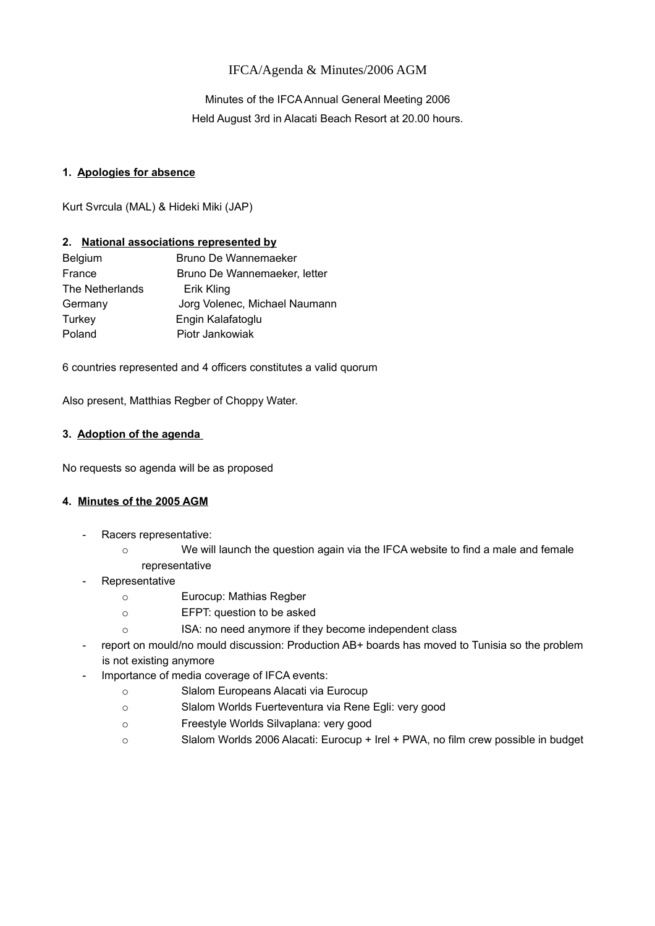# IFCA/Agenda & Minutes/2006 AGM

Minutes of the IFCA Annual General Meeting 2006 Held August 3rd in Alacati Beach Resort at 20.00 hours.

### **1. Apologies for absence**

Kurt Svrcula (MAL) & Hideki Miki (JAP)

## **2. National associations represented by**

| Bruno De Wannemaeker          |
|-------------------------------|
| Bruno De Wannemaeker, letter  |
| Erik Kling                    |
| Jorg Volenec, Michael Naumann |
| Engin Kalafatoglu             |
| Piotr Jankowiak               |
|                               |

6 countries represented and 4 officers constitutes a valid quorum

Also present, Matthias Regber of Choppy Water.

## **3. Adoption of the agenda**

No requests so agenda will be as proposed

# **4. [Minutes of the 2005 AGM](http://ifca.internationalwindsurfing.com/page0128v01.htm)**

- Racers representative:
	- o We will launch the question again via the IFCA website to find a male and female representative
- **Representative** 
	- o Eurocup: Mathias Regber
	- o EFPT: question to be asked
	- o ISA: no need anymore if they become independent class
- report on mould/no mould discussion: Production AB+ boards has moved to Tunisia so the problem is not existing anymore
- Importance of media coverage of IFCA events:
	- o Slalom Europeans Alacati via Eurocup
	- o Slalom Worlds Fuerteventura via Rene Egli: very good
	- o Freestyle Worlds Silvaplana: very good
	- o Slalom Worlds 2006 Alacati: Eurocup + Irel + PWA, no film crew possible in budget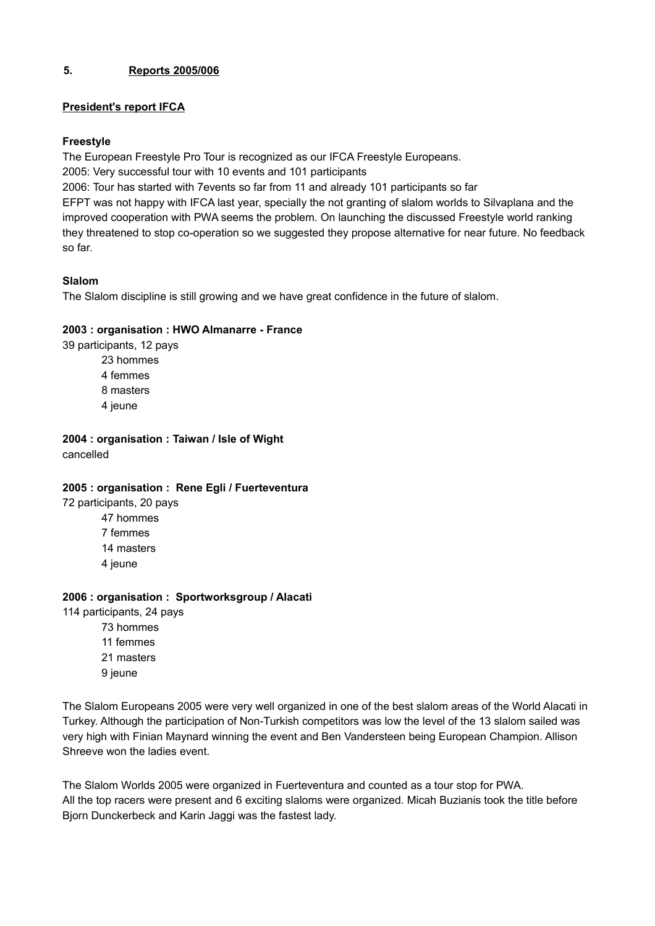# **5. Reports 2005/006**

# **President's report IFCA**

## **Freestyle**

The European Freestyle Pro Tour is recognized as our IFCA Freestyle Europeans.

2005: Very successful tour with 10 events and 101 participants

2006: Tour has started with 7events so far from 11 and already 101 participants so far

EFPT was not happy with IFCA last year, specially the not granting of slalom worlds to Silvaplana and the improved cooperation with PWA seems the problem. On launching the discussed Freestyle world ranking they threatened to stop co-operation so we suggested they propose alternative for near future. No feedback so far.

# **Slalom**

The Slalom discipline is still growing and we have great confidence in the future of slalom.

# **2003 : organisation : HWO Almanarre - France**

39 participants, 12 pays

23 hommes 4 femmes 8 masters 4 jeune

**2004 : organisation : Taiwan / Isle of Wight** cancelled

# **2005 : organisation : Rene Egli / Fuerteventura**

72 participants, 20 pays

47 hommes 7 femmes 14 masters 4 jeune

# **2006 : organisation : Sportworksgroup / Alacati**

114 participants, 24 pays 73 hommes 11 femmes 21 masters 9 jeune

The Slalom Europeans 2005 were very well organized in one of the best slalom areas of the World Alacati in Turkey. Although the participation of Non-Turkish competitors was low the level of the 13 slalom sailed was very high with Finian Maynard winning the event and Ben Vandersteen being European Champion. Allison Shreeve won the ladies event.

The Slalom Worlds 2005 were organized in Fuerteventura and counted as a tour stop for PWA. All the top racers were present and 6 exciting slaloms were organized. Micah Buzianis took the title before Bjorn Dunckerbeck and Karin Jaggi was the fastest lady.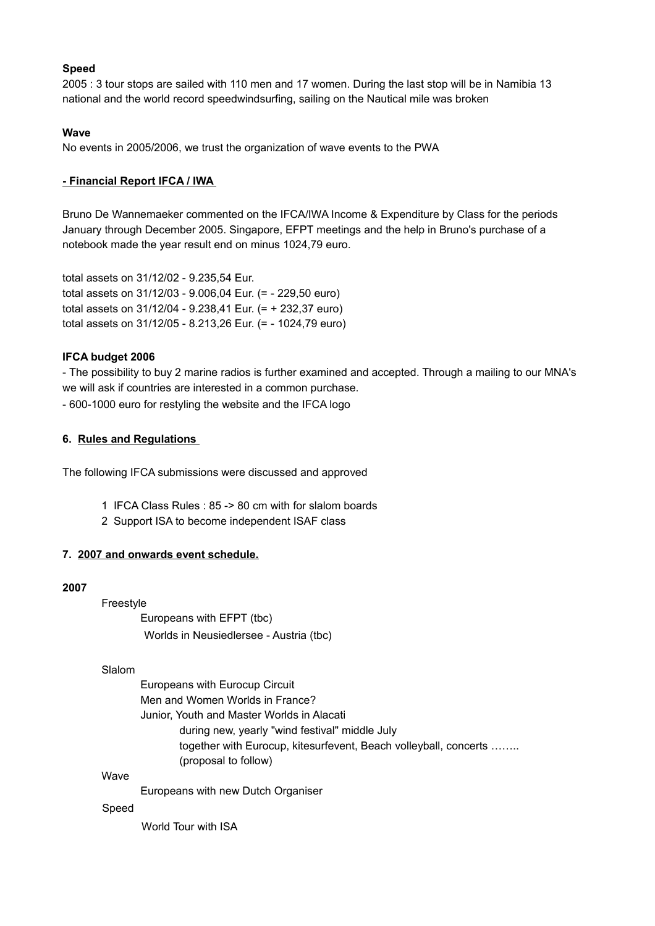### **Speed**

2005 : 3 tour stops are sailed with 110 men and 17 women. During the last stop will be in Namibia 13 national and the world record speedwindsurfing, sailing on the Nautical mile was broken

#### **Wave**

No events in 2005/2006, we trust the organization of wave events to the PWA

### **- Financial Report IFCA / IWA**

Bruno De Wannemaeker commented on the IFCA/IWA Income & Expenditure by Class for the periods January through December 2005. Singapore, EFPT meetings and the help in Bruno's purchase of a notebook made the year result end on minus 1024,79 euro.

total assets on 31/12/02 - 9.235,54 Eur. total assets on 31/12/03 - 9.006,04 Eur. (= - 229,50 euro) total assets on 31/12/04 - 9.238,41 Eur. (= + 232,37 euro) total assets on 31/12/05 - 8.213,26 Eur. (= - 1024,79 euro)

### **IFCA budget 2006**

- The possibility to buy 2 marine radios is further examined and accepted. Through a mailing to our MNA's we will ask if countries are interested in a common purchase.

- 600-1000 euro for restyling the website and the IFCA logo

### **6. Rules and Regulations**

The following IFCA submissions were discussed and approved

- 1 IFCA Class Rules : 85 -> 80 cm with for slalom boards
- 2 Support ISA to become independent ISAF class

### **7. 2007 and onwards event schedule.**

### **2007**

Freestyle

Europeans with EFPT (tbc) Worlds in Neusiedlersee - Austria (tbc)

#### Slalom

Europeans with Eurocup Circuit Men and Women Worlds in France? Junior, Youth and Master Worlds in Alacati during new, yearly "wind festival" middle July together with Eurocup, kitesurfevent, Beach volleyball, concerts …….. (proposal to follow)

### **Wave**

Europeans with new Dutch Organiser

#### Speed

World Tour with ISA